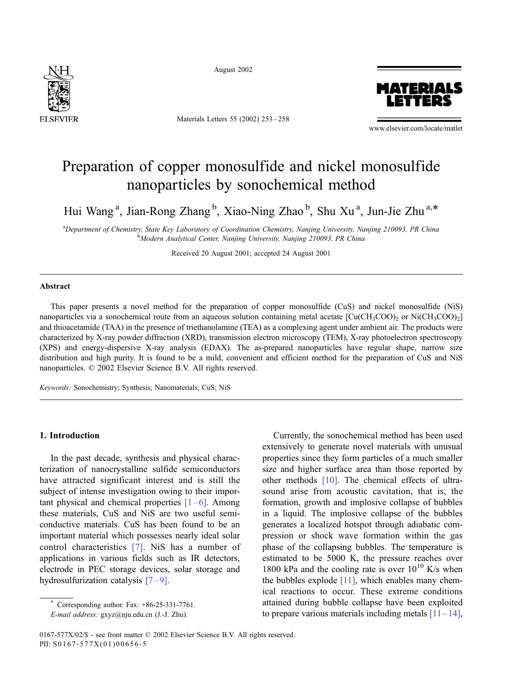

August 2002

Materials Letters 55 (2002) 253 – 258



www.elsevier.com/locate/matlet

# Preparation of copper monosulfide and nickel monosulfide nanoparticles by sonochemical method

Hui Wang<sup>a</sup>, Jian-Rong Zhang<sup>b</sup>, Xiao-Ning Zhao<sup>b</sup>, Shu Xu<sup>a</sup>, Jun-Jie Zhu<sup>a,\*</sup>

a<br>
Department of Chemistry, State Key Laboratory of Coordination Chemistry, Nanjing University, Nanjing 210093, PR China<br>
bModern Analytical Center Nanjing University, Nanjing 210003, PP China <sup>b</sup>Modern Analytical Center, Nanjing University, Nanjing 210093, PR China

Received 20 August 2001; accepted 24 August 2001

## Abstract

This paper presents a novel method for the preparation of copper monosulfide (CuS) and nickel monosulfide (NiS) nanoparticles via a sonochemical route from an aqueous solution containing metal acetate  $\text{[Cu(CH_3COO)$}$  or Ni(CH<sub>3</sub>COO)<sub>2</sub> and thioacetamide (TAA) in the presence of triethanolamine (TEA) as a complexing agent under ambient air. The products were characterized by X-ray powder diffraction (XRD), transmission electron microscopy (TEM), X-ray photoelectron spectroscopy (XPS) and energy-dispersive X-ray analysis (EDAX). The as-prepared nanoparticles have regular shape, narrow size distribution and high purity. It is found to be a mild, convenient and efficient method for the preparation of CuS and NiS nanoparticles.  $\oslash$  2002 Elsevier Science B.V. All rights reserved.

Keywords: Sonochemistry; Synthesis; Nanomaterials; CuS; NiS

## 1. Introduction

In the past decade, synthesis and physical characterization of nanocrystalline sulfide semiconductors have attracted significant interest and is still the subject of intense investigation owing to their important physical and chemical properties  $[1-6]$ . Among these materials, CuS and NiS are two useful semiconductive materials. CuS has been found to be an important material which possesses nearly ideal solar control characteristics [\[7\].](#page-5-0) NiS has a number of applications in various fields such as IR detectors, electrode in PEC storage devices, solar storage and hydrosulfurization catalysis  $[7-9]$ .

Corresponding author. Fax: +86-25-331-7761.

E-mail address: gxyz@nju.edu.cn (J.-J. Zhu).

Currently, the sonochemical method has been used extensively to generate novel materials with unusual properties since they form particles of a much smaller size and higher surface area than those reported by other methods [\[10\].](#page-5-0) The chemical effects of ultrasound arise from acoustic cavitation, that is, the formation, growth and implosive collapse of bubbles in a liquid. The implosive collapse of the bubbles generates a localized hotspot through adiabatic compression or shock wave formation within the gas phase of the collapsing bubbles. The temperature is estimated to be 5000 K, the pressure reaches over 1800 kPa and the cooling rate is over  $10^{10}$  K/s when the bubbles explode [\[11\],](#page-5-0) which enables many chemical reactions to occur. These extreme conditions attained during bubble collapse have been exploited to prepare various materials including metals  $[11-14]$ ,

<sup>0167-577</sup>X/02/\$ - see front matter © 2002 Elsevier Science B.V. All rights reserved. PII: S0167-577X(01)00656-5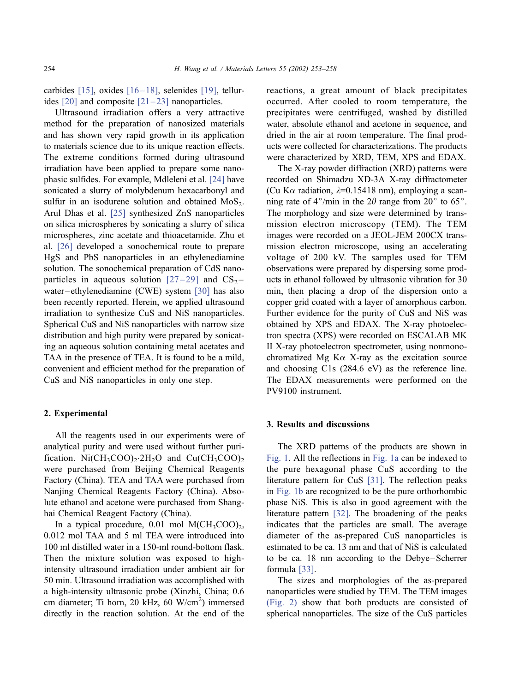carbides  $[15]$ , oxides  $[16-18]$ , selenides  $[19]$ , tellurides  $[20]$  and composite  $[21-23]$  nanoparticles.

Ultrasound irradiation offers a very attractive method for the preparation of nanosized materials and has shown very rapid growth in its application to materials science due to its unique reaction effects. The extreme conditions formed during ultrasound irradiation have been applied to prepare some nanophasic sulfides. For example, Mdleleni et al. [\[24\]](#page-5-0) have sonicated a slurry of molybdenum hexacarbonyl and sulfur in an isodurene solution and obtained  $MoS<sub>2</sub>$ . Arul Dhas et al. [\[25\]](#page-5-0) synthesized ZnS nanoparticles on silica microspheres by sonicating a slurry of silica microspheres, zinc acetate and thioacetamide. Zhu et al. [\[26\]](#page-5-0) developed a sonochemical route to prepare HgS and PbS nanoparticles in an ethylenediamine solution. The sonochemical preparation of CdS nanoparticles in aqueous solution  $[27-29]$  and  $CS_2$ water –ethylenediamine (CWE) system [\[30\]](#page-5-0) has also been recently reported. Herein, we applied ultrasound irradiation to synthesize CuS and NiS nanoparticles. Spherical CuS and NiS nanoparticles with narrow size distribution and high purity were prepared by sonicating an aqueous solution containing metal acetates and TAA in the presence of TEA. It is found to be a mild, convenient and efficient method for the preparation of CuS and NiS nanoparticles in only one step.

# 2. Experimental

All the reagents used in our experiments were of analytical purity and were used without further purification. Ni $(CH_3COO)_2$ :  $2H_2O$  and  $Cu(CH_3COO)_2$ were purchased from Beijing Chemical Reagents Factory (China). TEA and TAA were purchased from Nanjing Chemical Reagents Factory (China). Absolute ethanol and acetone were purchased from Shanghai Chemical Reagent Factory (China).

In a typical procedure,  $0.01$  mol M(CH<sub>3</sub>COO)<sub>2</sub>, 0.012 mol TAA and 5 ml TEA were introduced into 100 ml distilled water in a 150-ml round-bottom flask. Then the mixture solution was exposed to highintensity ultrasound irradiation under ambient air for 50 min. Ultrasound irradiation was accomplished with a high-intensity ultrasonic probe (Xinzhi, China; 0.6 cm diameter; Ti horn, 20 kHz, 60 W/cm<sup>2</sup>) immersed directly in the reaction solution. At the end of the reactions, a great amount of black precipitates occurred. After cooled to room temperature, the precipitates were centrifuged, washed by distilled water, absolute ethanol and acetone in sequence, and dried in the air at room temperature. The final products were collected for characterizations. The products were characterized by XRD, TEM, XPS and EDAX.

The X-ray powder diffraction (XRD) patterns were recorded on Shimadzu XD-3A X-ray diffractometer (Cu K $\alpha$  radiation,  $\lambda$ =0.15418 nm), employing a scanning rate of  $4^{\circ}/$ min in the  $2\theta$  range from  $20^{\circ}$  to  $65^{\circ}$ . The morphology and size were determined by transmission electron microscopy (TEM). The TEM images were recorded on a JEOL-JEM 200CX transmission electron microscope, using an accelerating voltage of 200 kV. The samples used for TEM observations were prepared by dispersing some products in ethanol followed by ultrasonic vibration for 30 min, then placing a drop of the dispersion onto a copper grid coated with a layer of amorphous carbon. Further evidence for the purity of CuS and NiS was obtained by XPS and EDAX. The X-ray photoelectron spectra (XPS) were recorded on ESCALAB MK II X-ray photoelectron spectrometer, using nonmonochromatized Mg K $\alpha$  X-ray as the excitation source and choosing C1s (284.6 eV) as the reference line. The EDAX measurements were performed on the PV9100 instrument.

# 3. Results and discussions

The XRD patterns of the products are shown in [Fig. 1.](#page-2-0) All the reflections in [Fig. 1a](#page-2-0) can be indexed to the pure hexagonal phase CuS according to the literature pattern for CuS [\[31\].](#page-5-0) The reflection peaks in [Fig. 1b](#page-2-0) are recognized to be the pure orthorhombic phase NiS. This is also in good agreement with the literature pattern [\[32\].](#page-5-0) The broadening of the peaks indicates that the particles are small. The average diameter of the as-prepared CuS nanoparticles is estimated to be ca. 13 nm and that of NiS is calculated to be ca. 18 nm according to the Debye–Scherrer formula [\[33\].](#page-5-0)

The sizes and morphologies of the as-prepared nanoparticles were studied by TEM. The TEM images [\(Fig. 2\)](#page-2-0) show that both products are consisted of spherical nanoparticles. The size of the CuS particles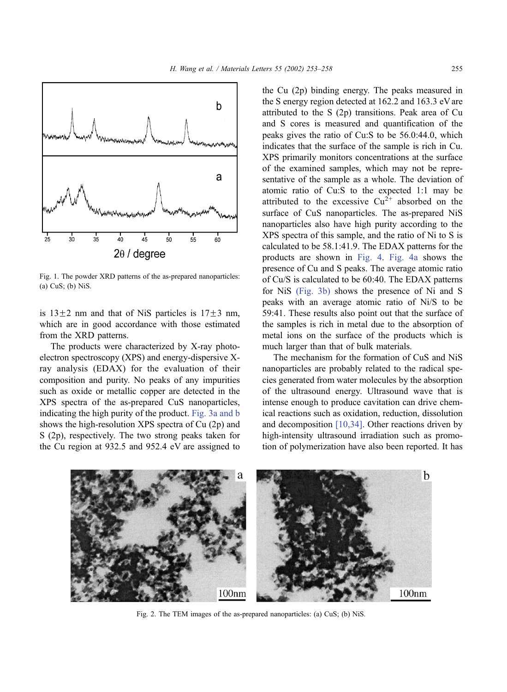<span id="page-2-0"></span>

Fig. 1. The powder XRD patterns of the as-prepared nanoparticles: (a) CuS; (b) NiS.

is  $13\pm2$  nm and that of NiS particles is  $17\pm3$  nm, which are in good accordance with those estimated from the XRD patterns.

The products were characterized by X-ray photoelectron spectroscopy (XPS) and energy-dispersive Xray analysis (EDAX) for the evaluation of their composition and purity. No peaks of any impurities such as oxide or metallic copper are detected in the XPS spectra of the as-prepared CuS nanoparticles, indicating the high purity of the product. [Fig. 3a and b](#page-3-0) shows the high-resolution XPS spectra of Cu (2p) and S (2p), respectively. The two strong peaks taken for the Cu region at 932.5 and 952.4 eV are assigned to

the Cu (2p) binding energy. The peaks measured in the S energy region detected at 162.2 and 163.3 eV are attributed to the S (2p) transitions. Peak area of Cu and S cores is measured and quantification of the peaks gives the ratio of Cu:S to be 56.0:44.0, which indicates that the surface of the sample is rich in Cu. XPS primarily monitors concentrations at the surface of the examined samples, which may not be representative of the sample as a whole. The deviation of atomic ratio of Cu:S to the expected 1:1 may be attributed to the excessive  $Cu^{2+}$  absorbed on the surface of CuS nanoparticles. The as-prepared NiS nanoparticles also have high purity according to the XPS spectra of this sample, and the ratio of Ni to S is calculated to be 58.1:41.9. The EDAX patterns for the products are shown in [Fig. 4.](#page-4-0) [Fig. 4a](#page-4-0) shows the presence of Cu and S peaks. The average atomic ratio of Cu/S is calculated to be 60:40. The EDAX patterns for NiS [\(Fig. 3b\)](#page-3-0) shows the presence of Ni and S peaks with an average atomic ratio of Ni/S to be 59:41. These results also point out that the surface of the samples is rich in metal due to the absorption of metal ions on the surface of the products which is much larger than that of bulk materials.

The mechanism for the formation of CuS and NiS nanoparticles are probably related to the radical species generated from water molecules by the absorption of the ultrasound energy. Ultrasound wave that is intense enough to produce cavitation can drive chemical reactions such as oxidation, reduction, dissolution and decomposition [\[10,34\].](#page-5-0) Other reactions driven by high-intensity ultrasound irradiation such as promotion of polymerization have also been reported. It has



Fig. 2. The TEM images of the as-prepared nanoparticles: (a) CuS; (b) NiS.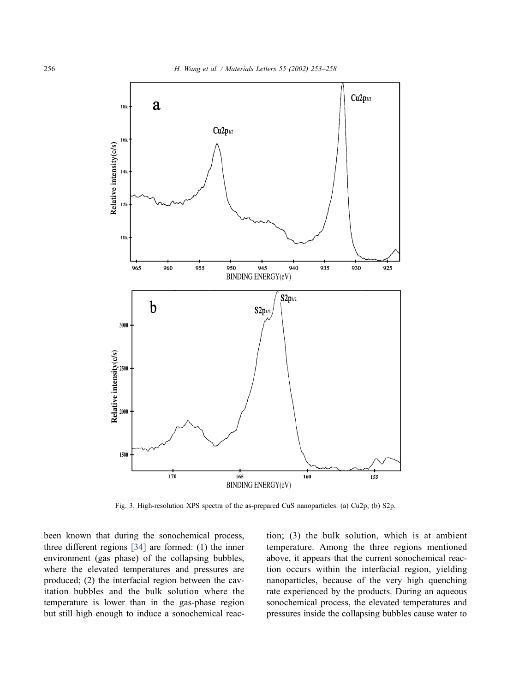<span id="page-3-0"></span>

Fig. 3. High-resolution XPS spectra of the as-prepared CuS nanoparticles: (a) Cu2p; (b) S2p.

been known that during the sonochemical process, three different regions [\[34\]](#page-5-0) are formed: (1) the inner environment (gas phase) of the collapsing bubbles, where the elevated temperatures and pressures are produced; (2) the interfacial region between the cavitation bubbles and the bulk solution where the temperature is lower than in the gas-phase region but still high enough to induce a sonochemical reaction; (3) the bulk solution, which is at ambient temperature. Among the three regions mentioned above, it appears that the current sonochemical reaction occurs within the interfacial region, yielding nanoparticles, because of the very high quenching rate experienced by the products. During an aqueous sonochemical process, the elevated temperatures and pressures inside the collapsing bubbles cause water to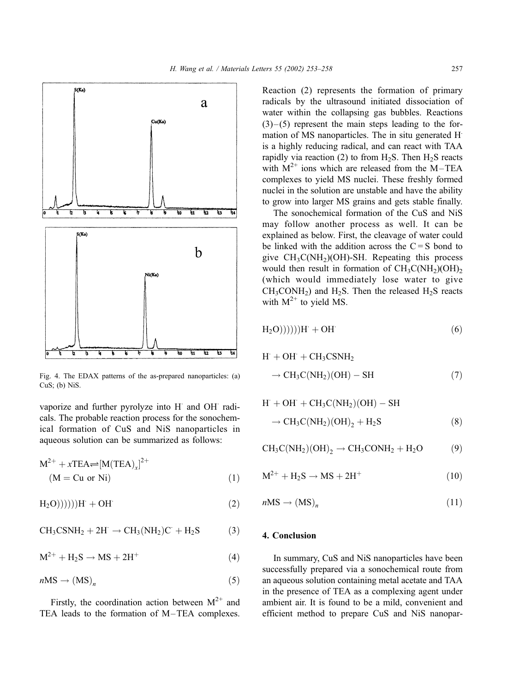<span id="page-4-0"></span>

Fig. 4. The EDAX patterns of the as-prepared nanoparticles: (a) CuS; (b) NiS.

vaporize and further pyrolyze into H and OH radicals. The probable reaction process for the sonochemical formation of CuS and NiS nanoparticles in aqueous solution can be summarized as follows:

$$
M^{2+} + xTEA \rightleftharpoons [M(TEA)_x]^{2+}
$$
  
(M = Cu or Ni) (1)

 $H_2O))))H + OH$  (2)

$$
CH_3CNH_2 + 2H \rightarrow CH_3(NH_2)C + H_2S \tag{3}
$$

$$
M^{2+} + H_2S \rightarrow MS + 2H^+ \tag{4}
$$

$$
n\text{MS} \to (\text{MS})_n \tag{5}
$$

Firstly, the coordination action between  $M^{2+}$  and TEA leads to the formation of M–TEA complexes. Reaction (2) represents the formation of primary radicals by the ultrasound initiated dissociation of water within the collapsing gas bubbles. Reactions  $(3)$  – (5) represent the main steps leading to the formation of MS nanoparticles. The in situ generated H. is a highly reducing radical, and can react with TAA rapidly via reaction (2) to from  $H_2S$ . Then  $H_2S$  reacts with  $M^{2+}$  ions which are released from the M–TEA complexes to yield MS nuclei. These freshly formed nuclei in the solution are unstable and have the ability to grow into larger MS grains and gets stable finally.

The sonochemical formation of the CuS and NiS may follow another process as well. It can be explained as below. First, the cleavage of water could be linked with the addition across the  $C = S$  bond to give  $CH_3C(NH_2)(OH)$ -SH. Repeating this process would then result in formation of  $CH_3C(NH_2)(OH)_{2}$ (which would immediately lose water to give  $CH_3CONH_2$ ) and  $H_2S$ . Then the released  $H_2S$  reacts with  $M^{2+}$  to yield MS.

$$
H_2O)))))H' + OH'
$$
 (6)

$$
H' + OH' + CH_3CSNH_2
$$
  
\n
$$
\rightarrow CH_3C(NH_2)(OH) - SH
$$
 (7)

$$
H' + OH' + CH_3C(NH_2)(OH) - SH
$$
  

$$
\rightarrow CH_3C(NH_2)(OH)_2 + H_2S
$$
 (8)

$$
CH_3C(NH_2)(OH)_2 \rightarrow CH_3CONH_2 + H_2O
$$
 (9)

$$
M^{2+} + H_2S \rightarrow MS + 2H^+ \tag{10}
$$

$$
nMS \to (MS)_n \tag{11}
$$

# 4. Conclusion

In summary, CuS and NiS nanoparticles have been successfully prepared via a sonochemical route from an aqueous solution containing metal acetate and TAA in the presence of TEA as a complexing agent under ambient air. It is found to be a mild, convenient and efficient method to prepare CuS and NiS nanopar-